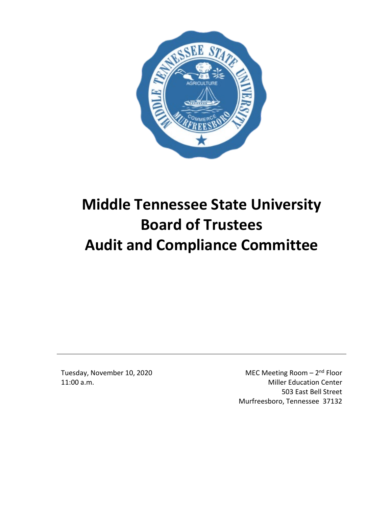

# **Middle Tennessee State University Board of Trustees Audit and Compliance Committee**

Tuesday, November 10, 2020 11:00 a.m.

MEC Meeting Room - 2<sup>nd</sup> Floor Miller Education Center 503 East Bell Street Murfreesboro, Tennessee 37132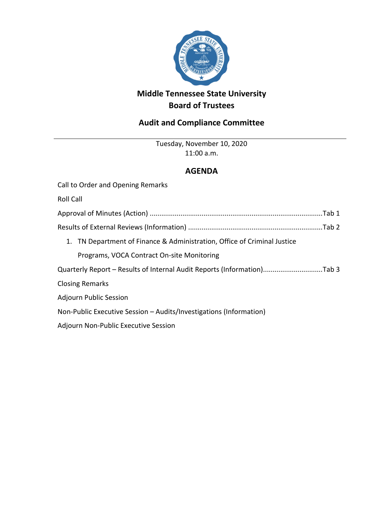

# **Audit and Compliance Committee**

Tuesday, November 10, 2020 11:00 a.m.

## **AGENDA**

| Call to Order and Opening Remarks                                        |
|--------------------------------------------------------------------------|
| <b>Roll Call</b>                                                         |
|                                                                          |
|                                                                          |
| 1. TN Department of Finance & Administration, Office of Criminal Justice |
| Programs, VOCA Contract On-site Monitoring                               |
| Quarterly Report - Results of Internal Audit Reports (Information)Tab 3  |
| <b>Closing Remarks</b>                                                   |
| <b>Adjourn Public Session</b>                                            |
| Non-Public Executive Session - Audits/Investigations (Information)       |
| Adjourn Non-Public Executive Session                                     |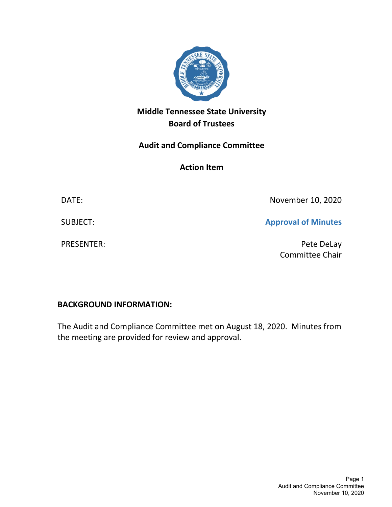

# **Audit and Compliance Committee**

# **Action Item**

DATE: November 10, 2020

SUBJECT: **Approval of Minutes**

PRESENTER: PRESENTER: Committee Chair

# **BACKGROUND INFORMATION:**

The Audit and Compliance Committee met on August 18, 2020. Minutes from the meeting are provided for review and approval.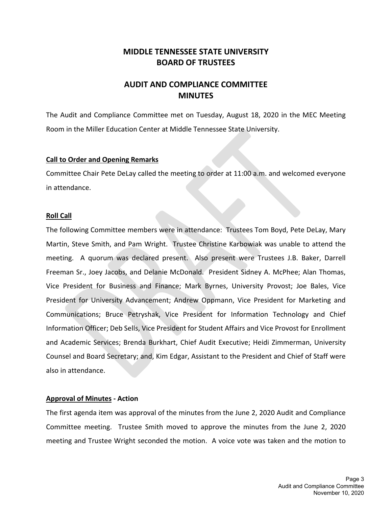### **MIDDLE TENNESSEE STATE UNIVERSITY BOARD OF TRUSTEES**

## **AUDIT AND COMPLIANCE COMMITTEE MINUTES**

The Audit and Compliance Committee met on Tuesday, August 18, 2020 in the MEC Meeting Room in the Miller Education Center at Middle Tennessee State University.

#### **Call to Order and Opening Remarks**

Committee Chair Pete DeLay called the meeting to order at 11:00 a.m. and welcomed everyone in attendance.

#### **Roll Call**

The following Committee members were in attendance: Trustees Tom Boyd, Pete DeLay, Mary Martin, Steve Smith, and Pam Wright. Trustee Christine Karbowiak was unable to attend the meeting. A quorum was declared present. Also present were Trustees J.B. Baker, Darrell Freeman Sr., Joey Jacobs, and Delanie McDonald. President Sidney A. McPhee; Alan Thomas, Vice President for Business and Finance; Mark Byrnes, University Provost; Joe Bales, Vice President for University Advancement; Andrew Oppmann, Vice President for Marketing and Communications; Bruce Petryshak, Vice President for Information Technology and Chief Information Officer; Deb Sells, Vice President for Student Affairs and Vice Provost for Enrollment and Academic Services; Brenda Burkhart, Chief Audit Executive; Heidi Zimmerman, University Counsel and Board Secretary; and, Kim Edgar, Assistant to the President and Chief of Staff were also in attendance.

#### **Approval of Minutes - Action**

The first agenda item was approval of the minutes from the June 2, 2020 Audit and Compliance Committee meeting. Trustee Smith moved to approve the minutes from the June 2, 2020 meeting and Trustee Wright seconded the motion. A voice vote was taken and the motion to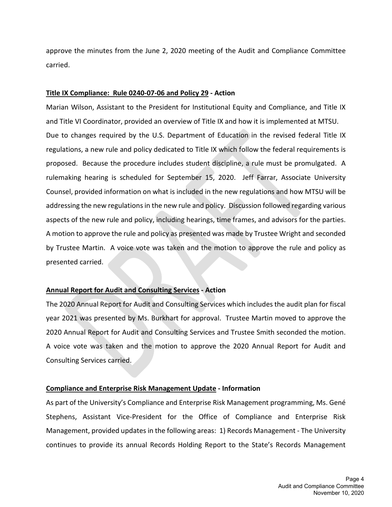approve the minutes from the June 2, 2020 meeting of the Audit and Compliance Committee carried.

#### **Title IX Compliance: Rule 0240-07-06 and Policy 29 - Action**

Marian Wilson, Assistant to the President for Institutional Equity and Compliance, and Title IX and Title VI Coordinator, provided an overview of Title IX and how it is implemented at MTSU. Due to changes required by the U.S. Department of Education in the revised federal Title IX regulations, a new rule and policy dedicated to Title IX which follow the federal requirements is proposed. Because the procedure includes student discipline, a rule must be promulgated. A rulemaking hearing is scheduled for September 15, 2020. Jeff Farrar, Associate University Counsel, provided information on what is included in the new regulations and how MTSU will be addressing the new regulations in the new rule and policy. Discussion followed regarding various aspects of the new rule and policy, including hearings, time frames, and advisors for the parties. A motion to approve the rule and policy as presented was made by Trustee Wright and seconded by Trustee Martin. A voice vote was taken and the motion to approve the rule and policy as presented carried.

#### **Annual Report for Audit and Consulting Services - Action**

The 2020 Annual Report for Audit and Consulting Services which includes the audit plan for fiscal year 2021 was presented by Ms. Burkhart for approval. Trustee Martin moved to approve the 2020 Annual Report for Audit and Consulting Services and Trustee Smith seconded the motion. A voice vote was taken and the motion to approve the 2020 Annual Report for Audit and Consulting Services carried.

#### **Compliance and Enterprise Risk Management Update - Information**

As part of the University's Compliance and Enterprise Risk Management programming, Ms. Gené Stephens, Assistant Vice-President for the Office of Compliance and Enterprise Risk Management, provided updates in the following areas: 1) Records Management - The University continues to provide its annual Records Holding Report to the State's Records Management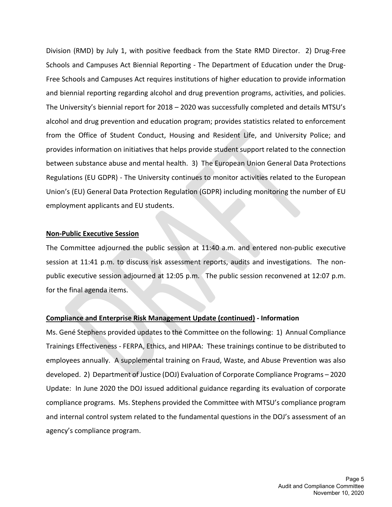Division (RMD) by July 1, with positive feedback from the State RMD Director. 2) Drug-Free Schools and Campuses Act Biennial Reporting - The Department of Education under the Drug-Free Schools and Campuses Act requires institutions of higher education to provide information and biennial reporting regarding alcohol and drug prevention programs, activities, and policies. The University's biennial report for 2018 – 2020 was successfully completed and details MTSU's alcohol and drug prevention and education program; provides statistics related to enforcement from the Office of Student Conduct, Housing and Resident Life, and University Police; and provides information on initiatives that helps provide student support related to the connection between substance abuse and mental health. 3) The European Union General Data Protections Regulations (EU GDPR) - The University continues to monitor activities related to the European Union's (EU) General Data Protection Regulation (GDPR) including monitoring the number of EU employment applicants and EU students.

#### **Non-Public Executive Session**

The Committee adjourned the public session at 11:40 a.m. and entered non-public executive session at 11:41 p.m. to discuss risk assessment reports, audits and investigations. The nonpublic executive session adjourned at 12:05 p.m. The public session reconvened at 12:07 p.m. for the final agenda items.

#### **Compliance and Enterprise Risk Management Update (continued) - Information**

Ms. Gené Stephens provided updates to the Committee on the following: 1) Annual Compliance Trainings Effectiveness - FERPA, Ethics, and HIPAA: These trainings continue to be distributed to employees annually. A supplemental training on Fraud, Waste, and Abuse Prevention was also developed. 2) Department of Justice (DOJ) Evaluation of Corporate Compliance Programs – 2020 Update: In June 2020 the DOJ issued additional guidance regarding its evaluation of corporate compliance programs. Ms. Stephens provided the Committee with MTSU's compliance program and internal control system related to the fundamental questions in the DOJ's assessment of an agency's compliance program.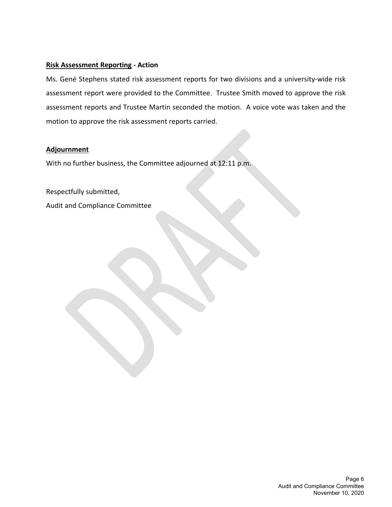#### **Risk Assessment Reporting - Action**

Ms. Gené Stephens stated risk assessment reports for two divisions and a university-wide risk assessment report were provided to the Committee. Trustee Smith moved to approve the risk assessment reports and Trustee Martin seconded the motion. A voice vote was taken and the motion to approve the risk assessment reports carried.

#### **Adjournment**

With no further business, the Committee adjourned at 12:11 p.m.

Respectfully submitted,

Audit and Compliance Committee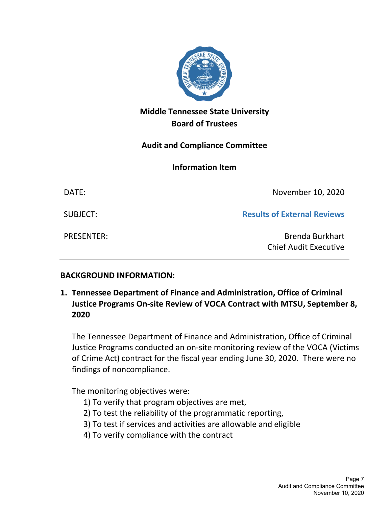

# **Audit and Compliance Committee**

## **Information Item**

| DATE:      | November 10, 2020                                      |
|------------|--------------------------------------------------------|
| SUBJECT:   | <b>Results of External Reviews</b>                     |
| PRESENTER: | <b>Brenda Burkhart</b><br><b>Chief Audit Executive</b> |

## **BACKGROUND INFORMATION:**

**1. Tennessee Department of Finance and Administration, Office of Criminal Justice Programs On-site Review of VOCA Contract with MTSU, September 8, 2020**

The Tennessee Department of Finance and Administration, Office of Criminal Justice Programs conducted an on-site monitoring review of the VOCA (Victims of Crime Act) contract for the fiscal year ending June 30, 2020. There were no findings of noncompliance.

The monitoring objectives were:

- 1) To verify that program objectives are met,
- 2) To test the reliability of the programmatic reporting,
- 3) To test if services and activities are allowable and eligible
- 4) To verify compliance with the contract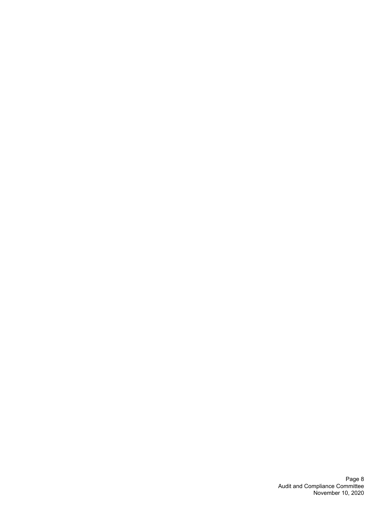Page 8 Audit and Compliance Committee November 10, 2020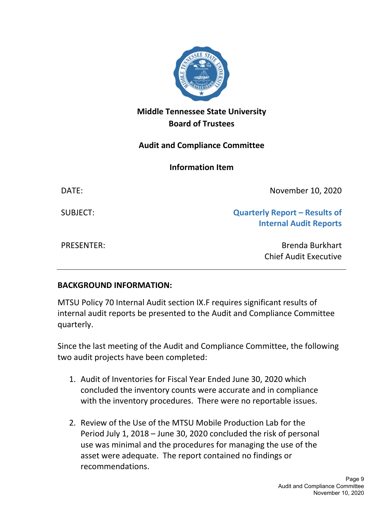

# **Audit and Compliance Committee**

## **Information Item**

| DATE:             | November 10, 2020                                                     |
|-------------------|-----------------------------------------------------------------------|
| SUBJECT:          | <b>Quarterly Report – Results of</b><br><b>Internal Audit Reports</b> |
| <b>PRESENTER:</b> | <b>Brenda Burkhart</b><br><b>Chief Audit Executive</b>                |

# **BACKGROUND INFORMATION:**

MTSU Policy 70 Internal Audit section IX.F requires significant results of internal audit reports be presented to the Audit and Compliance Committee quarterly.

Since the last meeting of the Audit and Compliance Committee, the following two audit projects have been completed:

- 1. Audit of Inventories for Fiscal Year Ended June 30, 2020 which concluded the inventory counts were accurate and in compliance with the inventory procedures. There were no reportable issues.
- 2. Review of the Use of the MTSU Mobile Production Lab for the Period July 1, 2018 – June 30, 2020 concluded the risk of personal use was minimal and the procedures for managing the use of the asset were adequate. The report contained no findings or recommendations.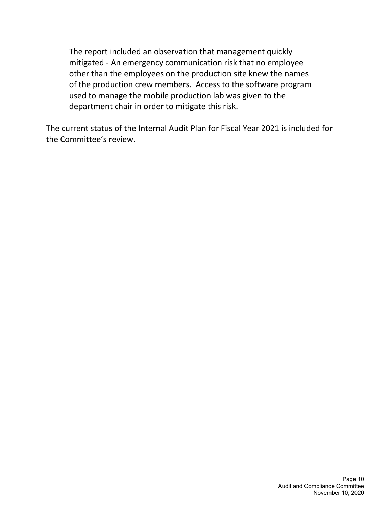The report included an observation that management quickly mitigated - An emergency communication risk that no employee other than the employees on the production site knew the names of the production crew members. Access to the software program used to manage the mobile production lab was given to the department chair in order to mitigate this risk.

The current status of the Internal Audit Plan for Fiscal Year 2021 is included for the Committee's review.